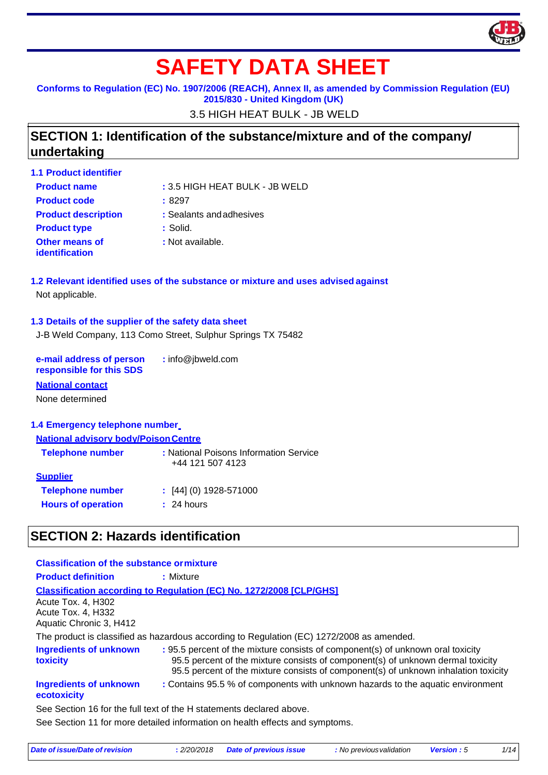

# **SAFETY DATA SHEET**

**Conforms to Regulation (EC) No. 1907/2006 (REACH), Annex II, as amended by Commission Regulation (EU)** 

**2015/830 - United Kingdom (UK)**

3.5 HIGH HEAT BULK - JB WELD

### **SECTION 1: Identification of the substance/mixture and of the company/ undertaking**

| : 3.5 HIGH HEAT BULK - JB WELD<br><b>Product name</b><br><b>Product code</b><br>:8297<br><b>Product description</b><br>: Sealants and adhesives<br>: Solid.<br><b>Product type</b><br><b>Other means of</b><br>: Not available.<br>identification | <b>1.1 Product identifier</b> |  |
|---------------------------------------------------------------------------------------------------------------------------------------------------------------------------------------------------------------------------------------------------|-------------------------------|--|
|                                                                                                                                                                                                                                                   |                               |  |
|                                                                                                                                                                                                                                                   |                               |  |
|                                                                                                                                                                                                                                                   |                               |  |
|                                                                                                                                                                                                                                                   |                               |  |
|                                                                                                                                                                                                                                                   |                               |  |

### **1.2 Relevant identified uses of the substance or mixture and uses advised against** Not applicable.

### **1.3 Details of the supplier of the safety data sheet**

J-B Weld Company, 113 Como Street, Sulphur Springs TX 75482

**e-mail address of person responsible for this SDS :** info@jbweld.com

### **National contact**

None determined

### **1.4 Emergency telephone number**

#### **National advisory body/PoisonCentre**

| <b>Telephone number</b>   | : National Poisons Information Service<br>+44 121 507 4123 |
|---------------------------|------------------------------------------------------------|
| <b>Supplier</b>           |                                                            |
| <b>Telephone number</b>   | $\div$ [44] (0) 1928-571000                                |
| <b>Hours of operation</b> | : 24 hours                                                 |
|                           |                                                            |

### **SECTION 2: Hazards identification**

| <b>Classification of the substance or mixture</b> |                                                                                                                                                                                                                                                           |
|---------------------------------------------------|-----------------------------------------------------------------------------------------------------------------------------------------------------------------------------------------------------------------------------------------------------------|
| <b>Product definition</b>                         | : Mixture                                                                                                                                                                                                                                                 |
|                                                   | <b>Classification according to Regulation (EC) No. 1272/2008 [CLP/GHS]</b>                                                                                                                                                                                |
| Acute Tox. 4, H302                                |                                                                                                                                                                                                                                                           |
| Acute Tox. 4, H332<br>Aquatic Chronic 3, H412     |                                                                                                                                                                                                                                                           |
|                                                   | The product is classified as hazardous according to Regulation (EC) 1272/2008 as amended.                                                                                                                                                                 |
| <b>Ingredients of unknown</b><br>toxicity         | : 95.5 percent of the mixture consists of component(s) of unknown oral toxicity<br>95.5 percent of the mixture consists of component(s) of unknown dermal toxicity<br>95.5 percent of the mixture consists of component(s) of unknown inhalation toxicity |
| Ingredients of unknown<br>ecotoxicity             | : Contains 95.5 % of components with unknown hazards to the aquatic environment                                                                                                                                                                           |
|                                                   | See Section 16 for the full text of the H statements declared above.                                                                                                                                                                                      |
|                                                   | See Section 11 for more detailed information on health effects and symptoms.                                                                                                                                                                              |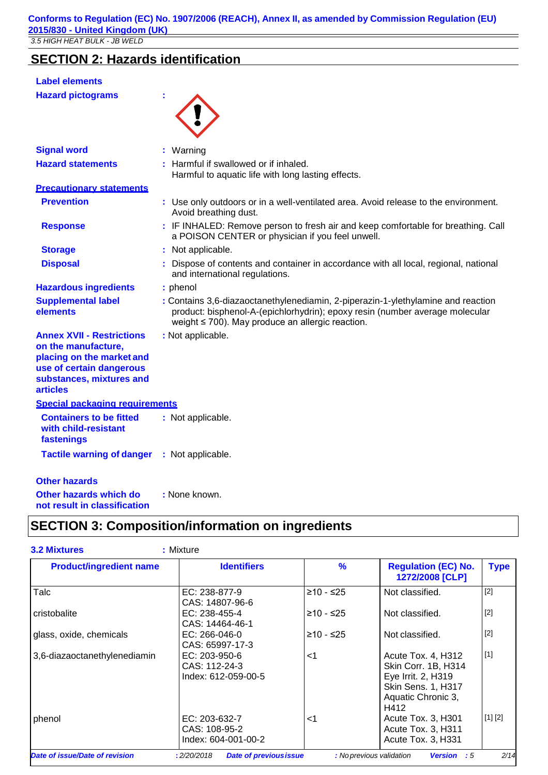### **SECTION 2: Hazards identification**

| <b>Label elements</b>                                                                                                                                           |                                                                                                                                                                                                                      |
|-----------------------------------------------------------------------------------------------------------------------------------------------------------------|----------------------------------------------------------------------------------------------------------------------------------------------------------------------------------------------------------------------|
| <b>Hazard pictograms</b>                                                                                                                                        |                                                                                                                                                                                                                      |
| <b>Signal word</b>                                                                                                                                              | : Warning                                                                                                                                                                                                            |
| <b>Hazard statements</b>                                                                                                                                        | Harmful if swallowed or if inhaled.<br>Harmful to aquatic life with long lasting effects.                                                                                                                            |
| <b>Precautionary statements</b>                                                                                                                                 |                                                                                                                                                                                                                      |
| <b>Prevention</b>                                                                                                                                               | : Use only outdoors or in a well-ventilated area. Avoid release to the environment.<br>Avoid breathing dust.                                                                                                         |
| <b>Response</b>                                                                                                                                                 | : IF INHALED: Remove person to fresh air and keep comfortable for breathing. Call<br>a POISON CENTER or physician if you feel unwell.                                                                                |
| <b>Storage</b>                                                                                                                                                  | : Not applicable.                                                                                                                                                                                                    |
| <b>Disposal</b>                                                                                                                                                 | Dispose of contents and container in accordance with all local, regional, national<br>and international regulations.                                                                                                 |
| <b>Hazardous ingredients</b>                                                                                                                                    | : phenol                                                                                                                                                                                                             |
| <b>Supplemental label</b><br>elements                                                                                                                           | : Contains 3,6-diazaoctanethylenediamin, 2-piperazin-1-ylethylamine and reaction<br>product: bisphenol-A-(epichlorhydrin); epoxy resin (number average molecular<br>weight ≤ 700). May produce an allergic reaction. |
| <b>Annex XVII - Restrictions</b><br>on the manufacture,<br>placing on the market and<br>use of certain dangerous<br>substances, mixtures and<br><b>articles</b> | : Not applicable.                                                                                                                                                                                                    |
| Special packaging requirements                                                                                                                                  |                                                                                                                                                                                                                      |
| <b>Containers to be fitted</b><br>with child-resistant<br>fastenings                                                                                            | : Not applicable.                                                                                                                                                                                                    |
| <b>Tactile warning of danger</b>                                                                                                                                | : Not applicable.                                                                                                                                                                                                    |
| <b>Other hazards</b>                                                                                                                                            |                                                                                                                                                                                                                      |
| Other hazards which do                                                                                                                                          | : None known.                                                                                                                                                                                                        |

**not result in classification**

### **SECTION 3: Composition/information on ingredients**

| <b>3.2 Mixtures</b>            | : Mixture                                             |               |                                                                                                                            |             |
|--------------------------------|-------------------------------------------------------|---------------|----------------------------------------------------------------------------------------------------------------------------|-------------|
| <b>Product/ingredient name</b> | <b>Identifiers</b>                                    | $\frac{9}{6}$ | <b>Regulation (EC) No.</b><br>1272/2008 [CLP]                                                                              | <b>Type</b> |
| Talc                           | EC: 238-877-9<br>CAS: 14807-96-6                      | ≥10 - ≤25     | Not classified.                                                                                                            | $[2]$       |
| cristobalite                   | EC: 238-455-4<br>CAS: 14464-46-1                      | $≥10 - ≤25$   | Not classified.                                                                                                            | $[2]$       |
| glass, oxide, chemicals        | $EC: 266-046-0$<br>CAS: 65997-17-3                    | $≥10 - ≤25$   | Not classified.                                                                                                            | $[2]$       |
| 3,6-diazaoctanethylenediamin   | EC: 203-950-6<br>CAS: 112-24-3<br>Index: 612-059-00-5 | $<$ 1         | Acute Tox. 4, H312<br>Skin Corr. 1B, H314<br>Eye Irrit. 2, H319<br><b>Skin Sens. 1, H317</b><br>Aquatic Chronic 3,<br>H412 | $[1]$       |
| phenol                         | EC: 203-632-7<br>CAS: 108-95-2<br>Index: 604-001-00-2 | <1            | Acute Tox. 3, H301<br>Acute Tox. 3, H311<br>Acute Tox. 3, H331                                                             | [1] [2]     |
| Date of issue/Date of revision | <b>Date of previous issue</b><br>:2/20/2018           |               | : No previous validation<br><b>Version</b> : 5                                                                             | 2/14        |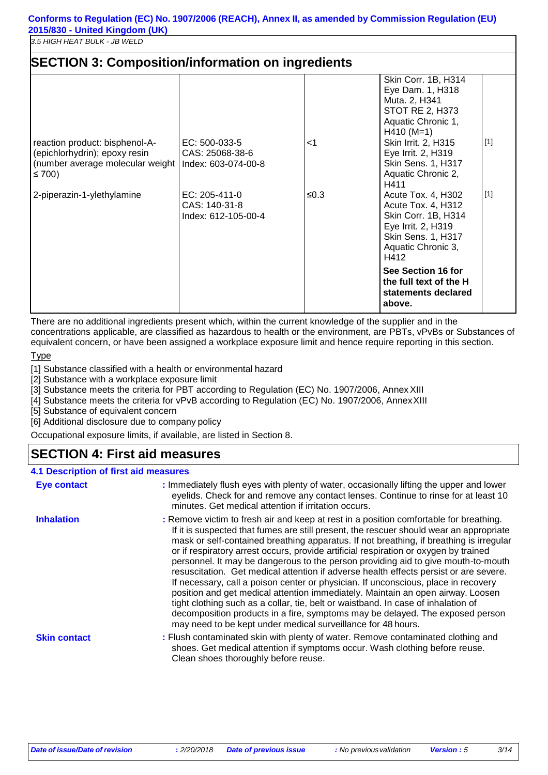| <b>SECTION 3: Composition/information on ingredients</b>                                                                                      |                                                                                                                  |              |                                                                                                                                                                                                                                                                                                                                                                                                                                                         |                |
|-----------------------------------------------------------------------------------------------------------------------------------------------|------------------------------------------------------------------------------------------------------------------|--------------|---------------------------------------------------------------------------------------------------------------------------------------------------------------------------------------------------------------------------------------------------------------------------------------------------------------------------------------------------------------------------------------------------------------------------------------------------------|----------------|
| reaction product: bisphenol-A-<br>(epichlorhydrin); epoxy resin<br>(number average molecular weight  <br>≤ 700)<br>2-piperazin-1-ylethylamine | EC: 500-033-5<br>CAS: 25068-38-6<br>Index: 603-074-00-8<br>EC: 205-411-0<br>CAS: 140-31-8<br>Index: 612-105-00-4 | ا><br>$≤0.3$ | Skin Corr. 1B, H314<br>Eye Dam. 1, H318<br>Muta. 2, H341<br><b>STOT RE 2, H373</b><br>Aquatic Chronic 1,<br>$H410 (M=1)$<br>Skin Irrit. 2, H315<br>Eye Irrit. 2, H319<br>Skin Sens. 1, H317<br>Aquatic Chronic 2,<br>H411<br>Acute Tox. 4, H302<br>Acute Tox. 4, H312<br>Skin Corr. 1B, H314<br>Eye Irrit. 2, H319<br>Skin Sens. 1, H317<br>Aquatic Chronic 3,<br>H412<br>See Section 16 for<br>the full text of the H<br>statements declared<br>above. | $[1]$<br>$[1]$ |

There are no additional ingredients present which, within the current knowledge of the supplier and in the concentrations applicable, are classified as hazardous to health or the environment, are PBTs, vPvBs or Substances of equivalent concern, or have been assigned a workplace exposure limit and hence require reporting in this section.

**Type** 

[1] Substance classified with a health or environmental hazard

[2] Substance with a workplace exposure limit

[3] Substance meets the criteria for PBT according to Regulation (EC) No. 1907/2006, AnnexXIII

[4] Substance meets the criteria for vPvB according to Regulation (EC) No. 1907/2006, AnnexXIII

[5] Substance of equivalent concern

[6] Additional disclosure due to company policy

Occupational exposure limits, if available, are listed in Section 8.

### **SECTION 4: First aid measures**

#### **4.1 Description of first aid measures Eye contact Inhalation Skin contact :** Immediately flush eyes with plenty of water, occasionally lifting the upper and lower eyelids. Check for and remove any contact lenses. Continue to rinse for at least 10 minutes. Get medical attention if irritation occurs. **:** Remove victim to fresh air and keep at rest in a position comfortable for breathing. If it is suspected that fumes are still present, the rescuer should wear an appropriate mask or self-contained breathing apparatus. If not breathing, if breathing is irregular or if respiratory arrest occurs, provide artificial respiration or oxygen by trained personnel. It may be dangerous to the person providing aid to give mouth-to-mouth resuscitation. Get medical attention if adverse health effects persist or are severe. If necessary, call a poison center or physician. If unconscious, place in recovery position and get medical attention immediately. Maintain an open airway. Loosen tight clothing such as a collar, tie, belt or waistband. In case of inhalation of decomposition products in a fire, symptoms may be delayed. The exposed person may need to be kept under medical surveillance for 48 hours. **:** Flush contaminated skin with plenty of water. Remove contaminated clothing and shoes. Get medical attention if symptoms occur. Wash clothing before reuse. Clean shoes thoroughly before reuse.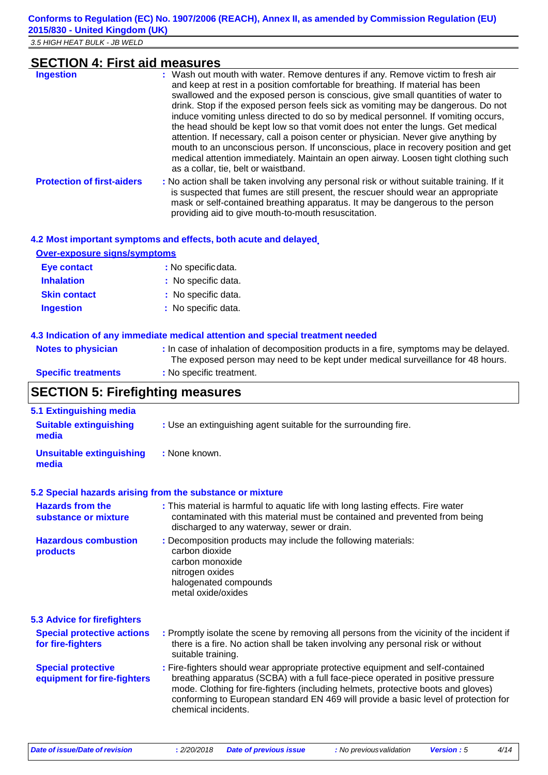|  |  |  |  | <b>SECTION 4: First aid measures</b> |
|--|--|--|--|--------------------------------------|
|  |  |  |  |                                      |

| <b>Ingestion</b>                  | : Wash out mouth with water. Remove dentures if any. Remove victim to fresh air<br>and keep at rest in a position comfortable for breathing. If material has been<br>swallowed and the exposed person is conscious, give small quantities of water to<br>drink. Stop if the exposed person feels sick as vomiting may be dangerous. Do not<br>induce vomiting unless directed to do so by medical personnel. If vomiting occurs,<br>the head should be kept low so that vomit does not enter the lungs. Get medical<br>attention. If necessary, call a poison center or physician. Never give anything by<br>mouth to an unconscious person. If unconscious, place in recovery position and get<br>medical attention immediately. Maintain an open airway. Loosen tight clothing such<br>as a collar, tie, belt or waistband. |
|-----------------------------------|-------------------------------------------------------------------------------------------------------------------------------------------------------------------------------------------------------------------------------------------------------------------------------------------------------------------------------------------------------------------------------------------------------------------------------------------------------------------------------------------------------------------------------------------------------------------------------------------------------------------------------------------------------------------------------------------------------------------------------------------------------------------------------------------------------------------------------|
| <b>Protection of first-aiders</b> | : No action shall be taken involving any personal risk or without suitable training. If it<br>is suspected that fumes are still present, the rescuer should wear an appropriate<br>mask or self-contained breathing apparatus. It may be dangerous to the person                                                                                                                                                                                                                                                                                                                                                                                                                                                                                                                                                              |

providing aid to give mouth-to-mouth resuscitation.

|  |  | 4.2 Most important symptoms and effects, both acute and delayed |  |
|--|--|-----------------------------------------------------------------|--|
|  |  |                                                                 |  |

| <b>Over-exposure signs/symptoms</b> |                     |  |
|-------------------------------------|---------------------|--|
| Eye contact                         | : No specific data. |  |
| <b>Inhalation</b>                   | : No specific data. |  |
| <b>Skin contact</b>                 | : No specific data. |  |
| <b>Ingestion</b>                    | : No specific data. |  |

### **4.3 Indication of any immediate medical attention and special treatment needed**

| <b>Notes to physician</b>  | : In case of inhalation of decomposition products in a fire, symptoms may be delayed.<br>The exposed person may need to be kept under medical surveillance for 48 hours. |
|----------------------------|--------------------------------------------------------------------------------------------------------------------------------------------------------------------------|
| <b>Specific treatments</b> | : No specific treatment.                                                                                                                                                 |

### **SECTION 5: Firefighting measures**

| 5.1 Extinguishing media                                  |                                                                                                                                                                                                                                                                                                                                                                       |
|----------------------------------------------------------|-----------------------------------------------------------------------------------------------------------------------------------------------------------------------------------------------------------------------------------------------------------------------------------------------------------------------------------------------------------------------|
| <b>Suitable extinguishing</b><br>media                   | : Use an extinguishing agent suitable for the surrounding fire.                                                                                                                                                                                                                                                                                                       |
| <b>Unsuitable extinguishing</b><br>media                 | : None known.                                                                                                                                                                                                                                                                                                                                                         |
|                                                          | 5.2 Special hazards arising from the substance or mixture                                                                                                                                                                                                                                                                                                             |
| <b>Hazards from the</b><br>substance or mixture          | : This material is harmful to aquatic life with long lasting effects. Fire water<br>contaminated with this material must be contained and prevented from being<br>discharged to any waterway, sewer or drain.                                                                                                                                                         |
| <b>Hazardous combustion</b><br>products                  | : Decomposition products may include the following materials:<br>carbon dioxide<br>carbon monoxide<br>nitrogen oxides<br>halogenated compounds<br>metal oxide/oxides                                                                                                                                                                                                  |
| <b>5.3 Advice for firefighters</b>                       |                                                                                                                                                                                                                                                                                                                                                                       |
| <b>Special protective actions</b><br>for fire-fighters   | : Promptly isolate the scene by removing all persons from the vicinity of the incident if<br>there is a fire. No action shall be taken involving any personal risk or without<br>suitable training.                                                                                                                                                                   |
| <b>Special protective</b><br>equipment for fire-fighters | : Fire-fighters should wear appropriate protective equipment and self-contained<br>breathing apparatus (SCBA) with a full face-piece operated in positive pressure<br>mode. Clothing for fire-fighters (including helmets, protective boots and gloves)<br>conforming to European standard EN 469 will provide a basic level of protection for<br>chemical incidents. |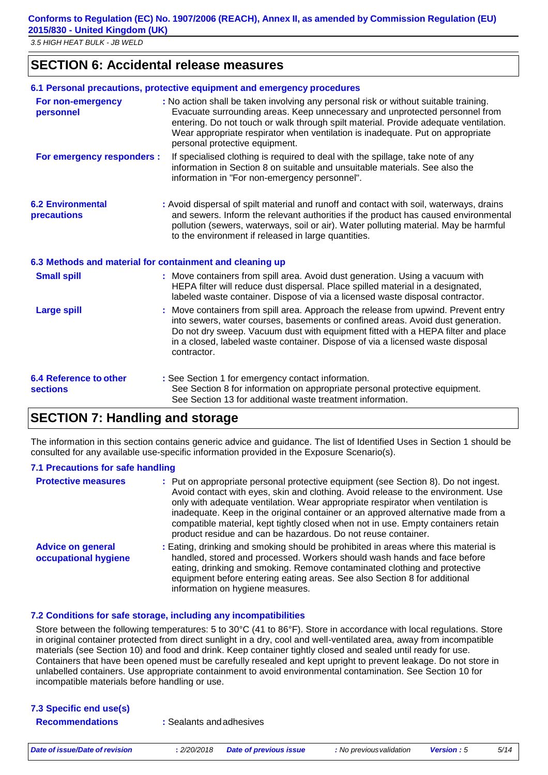**Conforms to Regulation (EC) No. 1907/2006 (REACH), Annex II, as amended by Commission Regulation (EU) 2015/830 - United Kingdom (UK)**

*3.5 HIGH HEAT BULK - JB WELD*

### **SECTION 6: Accidental release measures**

|                                                          | 6.1 Personal precautions, protective equipment and emergency procedures                                                                                                                                                                                                                                                                                                         |
|----------------------------------------------------------|---------------------------------------------------------------------------------------------------------------------------------------------------------------------------------------------------------------------------------------------------------------------------------------------------------------------------------------------------------------------------------|
| For non-emergency<br>personnel                           | : No action shall be taken involving any personal risk or without suitable training.<br>Evacuate surrounding areas. Keep unnecessary and unprotected personnel from<br>entering. Do not touch or walk through spilt material. Provide adequate ventilation.<br>Wear appropriate respirator when ventilation is inadequate. Put on appropriate<br>personal protective equipment. |
| For emergency responders :                               | If specialised clothing is required to deal with the spillage, take note of any<br>information in Section 8 on suitable and unsuitable materials. See also the<br>information in "For non-emergency personnel".                                                                                                                                                                 |
| <b>6.2 Environmental</b><br>precautions                  | : Avoid dispersal of spilt material and runoff and contact with soil, waterways, drains<br>and sewers. Inform the relevant authorities if the product has caused environmental<br>pollution (sewers, waterways, soil or air). Water polluting material. May be harmful<br>to the environment if released in large quantities.                                                   |
| 6.3 Methods and material for containment and cleaning up |                                                                                                                                                                                                                                                                                                                                                                                 |
| <b>Small spill</b>                                       | : Move containers from spill area. Avoid dust generation. Using a vacuum with<br>HEPA filter will reduce dust dispersal. Place spilled material in a designated,<br>labeled waste container. Dispose of via a licensed waste disposal contractor.                                                                                                                               |
| <b>Large spill</b>                                       | Move containers from spill area. Approach the release from upwind. Prevent entry<br>into sewers, water courses, basements or confined areas. Avoid dust generation.<br>Do not dry sweep. Vacuum dust with equipment fitted with a HEPA filter and place<br>in a closed, labeled waste container. Dispose of via a licensed waste disposal<br>contractor.                        |
| <b>6.4 Reference to other</b><br><b>sections</b>         | : See Section 1 for emergency contact information.<br>See Section 8 for information on appropriate personal protective equipment.<br>See Section 13 for additional waste treatment information.                                                                                                                                                                                 |

### **SECTION 7: Handling and storage**

The information in this section contains generic advice and guidance. The list of Identified Uses in Section 1 should be consulted for any available use-specific information provided in the Exposure Scenario(s).

#### **7.1 Precautions for safe handling**

| <b>Protective measures</b>                       | : Put on appropriate personal protective equipment (see Section 8). Do not ingest.<br>Avoid contact with eyes, skin and clothing. Avoid release to the environment. Use<br>only with adequate ventilation. Wear appropriate respirator when ventilation is<br>inadequate. Keep in the original container or an approved alternative made from a<br>compatible material, kept tightly closed when not in use. Empty containers retain<br>product residue and can be hazardous. Do not reuse container. |
|--------------------------------------------------|-------------------------------------------------------------------------------------------------------------------------------------------------------------------------------------------------------------------------------------------------------------------------------------------------------------------------------------------------------------------------------------------------------------------------------------------------------------------------------------------------------|
| <b>Advice on general</b><br>occupational hygiene | : Eating, drinking and smoking should be prohibited in areas where this material is<br>handled, stored and processed. Workers should wash hands and face before<br>eating, drinking and smoking. Remove contaminated clothing and protective<br>equipment before entering eating areas. See also Section 8 for additional<br>information on hygiene measures.                                                                                                                                         |

#### **7.2 Conditions for safe storage, including any incompatibilities**

Store between the following temperatures: 5 to 30°C (41 to 86°F). Store in accordance with local regulations. Store in original container protected from direct sunlight in a dry, cool and well-ventilated area, away from incompatible materials (see Section 10) and food and drink. Keep container tightly closed and sealed until ready for use. Containers that have been opened must be carefully resealed and kept upright to prevent leakage. Do not store in unlabelled containers. Use appropriate containment to avoid environmental contamination. See Section 10 for incompatible materials before handling or use.

| 7.3 Specific end use(s) |         |
|-------------------------|---------|
| <b>Recommendations</b>  | : Seala |

**Recommendations :** Sealants andadhesives

*Date of issue/Date of revision* **:** *2/20/2018 Date of previous issue : No previousvalidation Version : 5 5/14*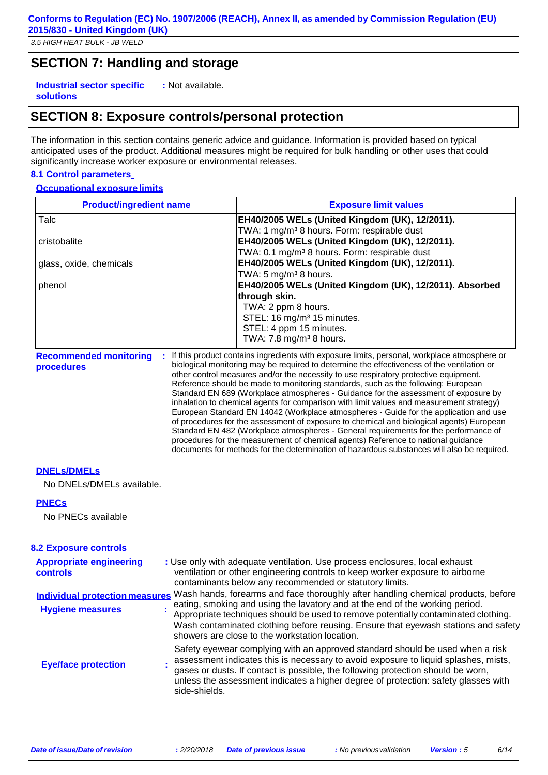### **SECTION 7: Handling and storage**

**Industrial sector specific solutions :** Not available.

### **SECTION 8: Exposure controls/personal protection**

The information in this section contains generic advice and guidance. Information is provided based on typical anticipated uses of the product. Additional measures might be required for bulk handling or other uses that could significantly increase worker exposure or environmental releases.

#### **8.1 Control parameters**

#### **Occupational exposure limits**

| <b>Product/ingredient name</b>                                   | <b>Exposure limit values</b>                                                                                                                                                                                                                                                                                                                                                                                                                                                                                                                                                                                                                                                                                                                                                                                                                                                                                                                                                                                                 |
|------------------------------------------------------------------|------------------------------------------------------------------------------------------------------------------------------------------------------------------------------------------------------------------------------------------------------------------------------------------------------------------------------------------------------------------------------------------------------------------------------------------------------------------------------------------------------------------------------------------------------------------------------------------------------------------------------------------------------------------------------------------------------------------------------------------------------------------------------------------------------------------------------------------------------------------------------------------------------------------------------------------------------------------------------------------------------------------------------|
| Talc                                                             | EH40/2005 WELs (United Kingdom (UK), 12/2011).<br>TWA: 1 mg/m <sup>3</sup> 8 hours. Form: respirable dust                                                                                                                                                                                                                                                                                                                                                                                                                                                                                                                                                                                                                                                                                                                                                                                                                                                                                                                    |
| cristobalite                                                     | EH40/2005 WELs (United Kingdom (UK), 12/2011).<br>TWA: 0.1 mg/m <sup>3</sup> 8 hours. Form: respirable dust                                                                                                                                                                                                                                                                                                                                                                                                                                                                                                                                                                                                                                                                                                                                                                                                                                                                                                                  |
| glass, oxide, chemicals                                          | EH40/2005 WELs (United Kingdom (UK), 12/2011).<br>TWA: 5 mg/m <sup>3</sup> 8 hours.                                                                                                                                                                                                                                                                                                                                                                                                                                                                                                                                                                                                                                                                                                                                                                                                                                                                                                                                          |
| phenol                                                           | EH40/2005 WELs (United Kingdom (UK), 12/2011). Absorbed<br>through skin.                                                                                                                                                                                                                                                                                                                                                                                                                                                                                                                                                                                                                                                                                                                                                                                                                                                                                                                                                     |
|                                                                  | TWA: 2 ppm 8 hours.<br>STEL: 16 mg/m <sup>3</sup> 15 minutes.<br>STEL: 4 ppm 15 minutes.<br>TWA: 7.8 mg/m <sup>3</sup> 8 hours.                                                                                                                                                                                                                                                                                                                                                                                                                                                                                                                                                                                                                                                                                                                                                                                                                                                                                              |
| <b>Recommended monitoring</b><br>procedures                      | : If this product contains ingredients with exposure limits, personal, workplace atmosphere or<br>biological monitoring may be required to determine the effectiveness of the ventilation or<br>other control measures and/or the necessity to use respiratory protective equipment.<br>Reference should be made to monitoring standards, such as the following: European<br>Standard EN 689 (Workplace atmospheres - Guidance for the assessment of exposure by<br>inhalation to chemical agents for comparison with limit values and measurement strategy)<br>European Standard EN 14042 (Workplace atmospheres - Guide for the application and use<br>of procedures for the assessment of exposure to chemical and biological agents) European<br>Standard EN 482 (Workplace atmospheres - General requirements for the performance of<br>procedures for the measurement of chemical agents) Reference to national guidance<br>documents for methods for the determination of hazardous substances will also be required. |
| <b>DNELS/DMELS</b><br>No DNELs/DMELs available.                  |                                                                                                                                                                                                                                                                                                                                                                                                                                                                                                                                                                                                                                                                                                                                                                                                                                                                                                                                                                                                                              |
| <b>PNECs</b><br>No PNECs available                               |                                                                                                                                                                                                                                                                                                                                                                                                                                                                                                                                                                                                                                                                                                                                                                                                                                                                                                                                                                                                                              |
| <b>8.2 Exposure controls</b>                                     |                                                                                                                                                                                                                                                                                                                                                                                                                                                                                                                                                                                                                                                                                                                                                                                                                                                                                                                                                                                                                              |
| <b>Appropriate engineering</b><br><b>controls</b>                | : Use only with adequate ventilation. Use process enclosures, local exhaust<br>ventilation or other engineering controls to keep worker exposure to airborne<br>contaminants below any recommended or statutory limits.                                                                                                                                                                                                                                                                                                                                                                                                                                                                                                                                                                                                                                                                                                                                                                                                      |
| <b>Individual protection measures</b><br><b>Hygiene measures</b> | Wash hands, forearms and face thoroughly after handling chemical products, before<br>eating, smoking and using the lavatory and at the end of the working period.<br>Appropriate techniques should be used to remove potentially contaminated clothing.<br>Wash contaminated clothing before reusing. Ensure that eyewash stations and safety<br>showers are close to the workstation location.                                                                                                                                                                                                                                                                                                                                                                                                                                                                                                                                                                                                                              |
| <b>Eye/face protection</b>                                       | Safety eyewear complying with an approved standard should be used when a risk<br>assessment indicates this is necessary to avoid exposure to liquid splashes, mists,<br>gases or dusts. If contact is possible, the following protection should be worn,                                                                                                                                                                                                                                                                                                                                                                                                                                                                                                                                                                                                                                                                                                                                                                     |

unless the assessment indicates a higher degree of protection: safety glasses with side-shields.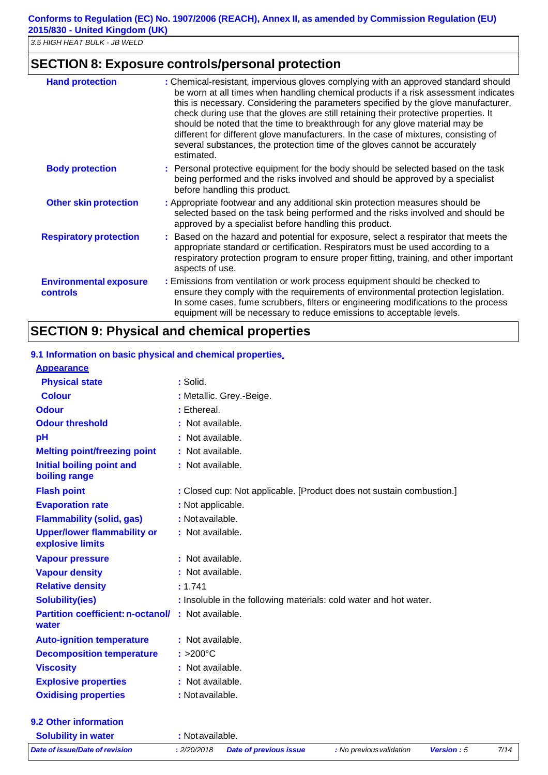### **SECTION 8: Exposure controls/personal protection**

| <b>Hand protection</b>                           | : Chemical-resistant, impervious gloves complying with an approved standard should<br>be worn at all times when handling chemical products if a risk assessment indicates<br>this is necessary. Considering the parameters specified by the glove manufacturer,<br>check during use that the gloves are still retaining their protective properties. It<br>should be noted that the time to breakthrough for any glove material may be<br>different for different glove manufacturers. In the case of mixtures, consisting of<br>several substances, the protection time of the gloves cannot be accurately<br>estimated. |
|--------------------------------------------------|---------------------------------------------------------------------------------------------------------------------------------------------------------------------------------------------------------------------------------------------------------------------------------------------------------------------------------------------------------------------------------------------------------------------------------------------------------------------------------------------------------------------------------------------------------------------------------------------------------------------------|
| <b>Body protection</b>                           | : Personal protective equipment for the body should be selected based on the task<br>being performed and the risks involved and should be approved by a specialist<br>before handling this product.                                                                                                                                                                                                                                                                                                                                                                                                                       |
| <b>Other skin protection</b>                     | : Appropriate footwear and any additional skin protection measures should be<br>selected based on the task being performed and the risks involved and should be<br>approved by a specialist before handling this product.                                                                                                                                                                                                                                                                                                                                                                                                 |
| <b>Respiratory protection</b>                    | : Based on the hazard and potential for exposure, select a respirator that meets the<br>appropriate standard or certification. Respirators must be used according to a<br>respiratory protection program to ensure proper fitting, training, and other important<br>aspects of use.                                                                                                                                                                                                                                                                                                                                       |
| <b>Environmental exposure</b><br><b>controls</b> | : Emissions from ventilation or work process equipment should be checked to<br>ensure they comply with the requirements of environmental protection legislation.<br>In some cases, fume scrubbers, filters or engineering modifications to the process<br>equipment will be necessary to reduce emissions to acceptable levels.                                                                                                                                                                                                                                                                                           |

### **SECTION 9: Physical and chemical properties**

#### **9.1 Information on basic physical and chemical properties**

| <b>Appearance</b>                                      |                                                                      |
|--------------------------------------------------------|----------------------------------------------------------------------|
| <b>Physical state</b>                                  | : Solid.                                                             |
| <b>Colour</b>                                          | : Metallic. Grey.-Beige.                                             |
| <b>Odour</b>                                           | : Ethereal.                                                          |
| <b>Odour threshold</b>                                 | : Not available.                                                     |
| pH                                                     | : Not available.                                                     |
| <b>Melting point/freezing point</b>                    | : Not available.                                                     |
| <b>Initial boiling point and</b><br>boiling range      | : Not available.                                                     |
| <b>Flash point</b>                                     | : Closed cup: Not applicable. [Product does not sustain combustion.] |
| <b>Evaporation rate</b>                                | : Not applicable.                                                    |
| <b>Flammability (solid, gas)</b>                       | : Notavailable.                                                      |
| <b>Upper/lower flammability or</b><br>explosive limits | : Not available.                                                     |
| <b>Vapour pressure</b>                                 | : Not available.                                                     |
| <b>Vapour density</b>                                  | : Not available.                                                     |
| <b>Relative density</b>                                | : 1.741                                                              |
| <b>Solubility(ies)</b>                                 | : Insoluble in the following materials: cold water and hot water.    |
| <b>Partition coefficient: n-octanol/</b><br>water      | : Not available.                                                     |
| <b>Auto-ignition temperature</b>                       | : Not available.                                                     |
| <b>Decomposition temperature</b>                       | $: >200^{\circ}$ C                                                   |
| <b>Viscosity</b>                                       | : Not available.                                                     |
| <b>Explosive properties</b>                            | : Not available.                                                     |
| <b>Oxidising properties</b>                            | : Not available.                                                     |
| 9.2 Other information                                  |                                                                      |

*Date of issue/Date of revision* **:** *2/20/2018 Date of previous issue : No previousvalidation Version : 5 7/14* **Solubility in water :** Notavailable.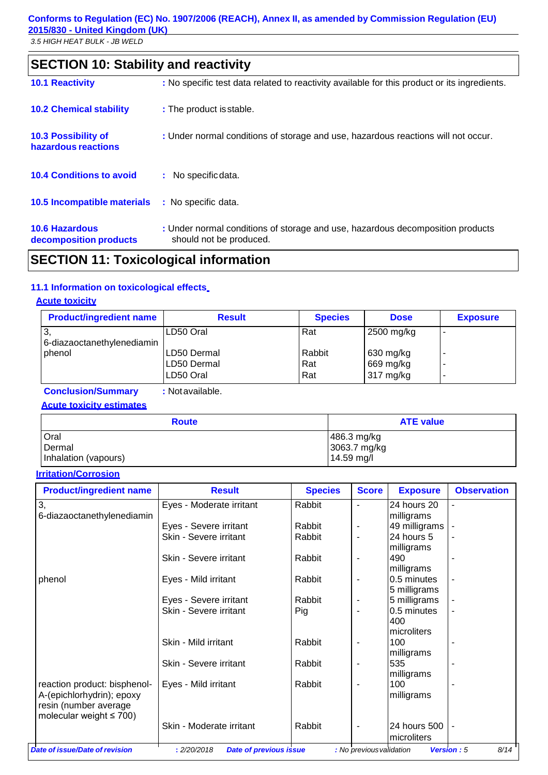## **SECTION 10: Stability and reactivity**

| <b>10.1 Reactivity</b>                            | : No specific test data related to reactivity available for this product or its ingredients.              |
|---------------------------------------------------|-----------------------------------------------------------------------------------------------------------|
| <b>10.2 Chemical stability</b>                    | : The product is stable.                                                                                  |
| <b>10.3 Possibility of</b><br>hazardous reactions | : Under normal conditions of storage and use, hazardous reactions will not occur.                         |
| <b>10.4 Conditions to avoid</b>                   | : No specific data.                                                                                       |
| 10.5 Incompatible materials                       | : No specific data.                                                                                       |
| <b>10.6 Hazardous</b><br>decomposition products   | : Under normal conditions of storage and use, hazardous decomposition products<br>should not be produced. |

### **SECTION 11: Toxicological information**

### **11.1 Information on toxicological effects**

### **Acute toxicity**

| <b>Product/ingredient name</b>   | <b>Result</b>                            | <b>Species</b>       | <b>Dose</b>                         | <b>Exposure</b> |
|----------------------------------|------------------------------------------|----------------------|-------------------------------------|-----------------|
| 3.<br>6-diazaoctanethylenediamin | LD50 Oral                                | Rat                  | 2500 mg/kg                          |                 |
| phenol                           | ILD50 Dermal<br>LD50 Dermal<br>LD50 Oral | Rabbit<br>Rat<br>Rat | 630 mg/kg<br>669 mg/kg<br>317 mg/kg |                 |
|                                  |                                          |                      |                                     |                 |

**Conclusion/Summary :** Notavailable.

**Acute toxicity estimates**

| <b>Route</b>         | <b>ATE value</b> |  |  |
|----------------------|------------------|--|--|
| Oral                 | 486.3 mg/kg      |  |  |
| Dermal               | 3063.7 mg/kg     |  |  |
| Inhalation (vapours) | 14.59 mg/l       |  |  |

#### **Irritation/Corrosion**

| <b>Product/ingredient name</b>                         | <b>Result</b>                                | <b>Species</b> | <b>Score</b>             | <b>Exposure</b> | <b>Observation</b>        |
|--------------------------------------------------------|----------------------------------------------|----------------|--------------------------|-----------------|---------------------------|
| 3,                                                     | Eyes - Moderate irritant                     | Rabbit         |                          | 24 hours 20     |                           |
| 6-diazaoctanethylenediamin                             |                                              |                |                          | milligrams      |                           |
|                                                        | Eyes - Severe irritant                       | Rabbit         |                          | 49 milligrams   |                           |
|                                                        | Skin - Severe irritant                       | Rabbit         |                          | 24 hours 5      |                           |
|                                                        |                                              |                |                          | milligrams      |                           |
|                                                        | Skin - Severe irritant                       | Rabbit         |                          | 490             |                           |
|                                                        |                                              |                |                          | milligrams      |                           |
| phenol                                                 | Eyes - Mild irritant                         | Rabbit         | $\blacksquare$           | 0.5 minutes     |                           |
|                                                        |                                              |                |                          | 5 milligrams    |                           |
|                                                        | Eyes - Severe irritant                       | Rabbit         |                          | 5 milligrams    |                           |
|                                                        | Skin - Severe irritant                       | Pig            |                          | 0.5 minutes     |                           |
|                                                        |                                              |                |                          | 400             |                           |
|                                                        |                                              |                |                          | microliters     |                           |
|                                                        | Skin - Mild irritant                         | Rabbit         |                          | 100             |                           |
|                                                        |                                              |                |                          | milligrams      |                           |
|                                                        | Skin - Severe irritant                       | Rabbit         |                          | 535             |                           |
|                                                        |                                              |                |                          | milligrams      |                           |
| reaction product: bisphenol-                           | Eyes - Mild irritant                         | Rabbit         |                          | 100             |                           |
| A-(epichlorhydrin); epoxy                              |                                              |                |                          | milligrams      |                           |
| resin (number average<br>molecular weight $\leq 700$ ) |                                              |                |                          |                 |                           |
|                                                        | Skin - Moderate irritant                     | Rabbit         | $\blacksquare$           | 24 hours 500    |                           |
|                                                        |                                              |                |                          | microliters     |                           |
| Date of issue/Date of revision                         | : 2/20/2018<br><b>Date of previous issue</b> |                | : No previous validation |                 | 8/14<br><b>Version: 5</b> |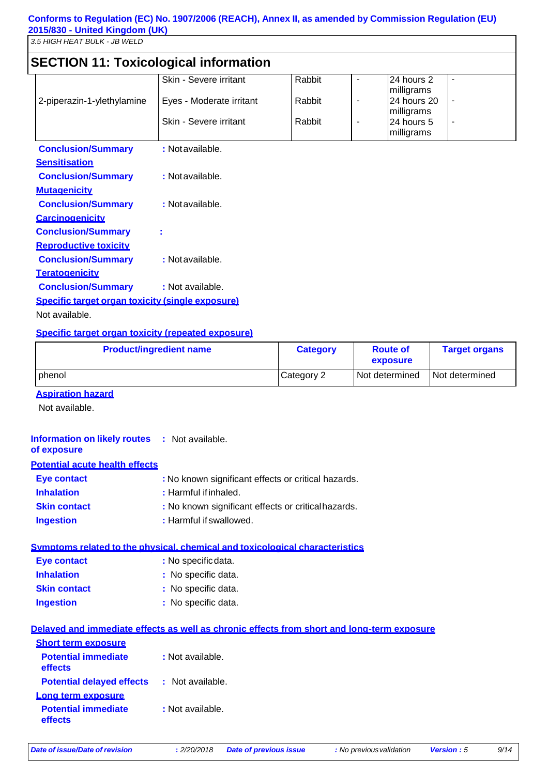### **SECTION 11: Toxicological information**

| <b>SECTION TE TOXICOIOGICALITIOI INAUDIT</b>     |                          |        |   |             |                |
|--------------------------------------------------|--------------------------|--------|---|-------------|----------------|
|                                                  | Skin - Severe irritant   | Rabbit | ۰ | 24 hours 2  | ٠              |
|                                                  |                          |        |   | milligrams  |                |
| 2-piperazin-1-ylethylamine                       | Eyes - Moderate irritant | Rabbit | ٠ | 24 hours 20 | ٠              |
|                                                  |                          |        |   | milligrams  |                |
|                                                  | Skin - Severe irritant   | Rabbit | ٠ | 24 hours 5  | $\blacksquare$ |
|                                                  |                          |        |   | milligrams  |                |
| <b>Conclusion/Summary</b>                        | : Not available.         |        |   |             |                |
| <b>Sensitisation</b>                             |                          |        |   |             |                |
| <b>Conclusion/Summary</b>                        | : Not available.         |        |   |             |                |
| <b>Mutagenicity</b>                              |                          |        |   |             |                |
| <b>Conclusion/Summary</b>                        | : Not available.         |        |   |             |                |
| <b>Carcinogenicity</b>                           |                          |        |   |             |                |
| <b>Conclusion/Summary</b>                        |                          |        |   |             |                |
| <b>Reproductive toxicity</b>                     |                          |        |   |             |                |
| <b>Conclusion/Summary</b>                        | : Not available.         |        |   |             |                |
| <b>Teratogenicity</b>                            |                          |        |   |             |                |
| <b>Conclusion/Summary</b>                        | : Not available.         |        |   |             |                |
| Specific target organ toxicity (single exposure) |                          |        |   |             |                |

Not available.

#### **Specific target organ toxicity (repeated exposure)**

| <b>Product/ingredient name</b> | <b>Category</b> | <b>Route of</b><br>exposure | <b>Target organs</b> |
|--------------------------------|-----------------|-----------------------------|----------------------|
| phenol                         | Category 2      | Not determined              | Not determined       |

### **Aspiration hazard**

Not available.

| <b>Information on likely routes : Not available.</b><br>of exposure |                                                                                            |
|---------------------------------------------------------------------|--------------------------------------------------------------------------------------------|
| <b>Potential acute health effects</b>                               |                                                                                            |
| <b>Eye contact</b>                                                  | : No known significant effects or critical hazards.                                        |
| <b>Inhalation</b>                                                   | : Harmful if inhaled.                                                                      |
| <b>Skin contact</b>                                                 | : No known significant effects or critical hazards.                                        |
| <b>Ingestion</b>                                                    | : Harmful if swallowed.                                                                    |
|                                                                     | Symptoms related to the physical, chemical and toxicological characteristics               |
| <b>Eye contact</b>                                                  | : No specific data.                                                                        |
| <b>Inhalation</b>                                                   | : No specific data.                                                                        |
| <b>Skin contact</b>                                                 | : No specific data.                                                                        |
| <b>Ingestion</b>                                                    | : No specific data.                                                                        |
|                                                                     | Delayed and immediate effects as well as chronic effects from short and long-term exposure |
| <b>Short term exposure</b>                                          |                                                                                            |
| <b>Potential immediate</b><br>effects                               | : Not available.                                                                           |
| <b>Potential delayed effects</b>                                    | : Not available.                                                                           |
| Long term exposure                                                  |                                                                                            |
| <b>Potential immediate</b><br>effects                               | : Not available.                                                                           |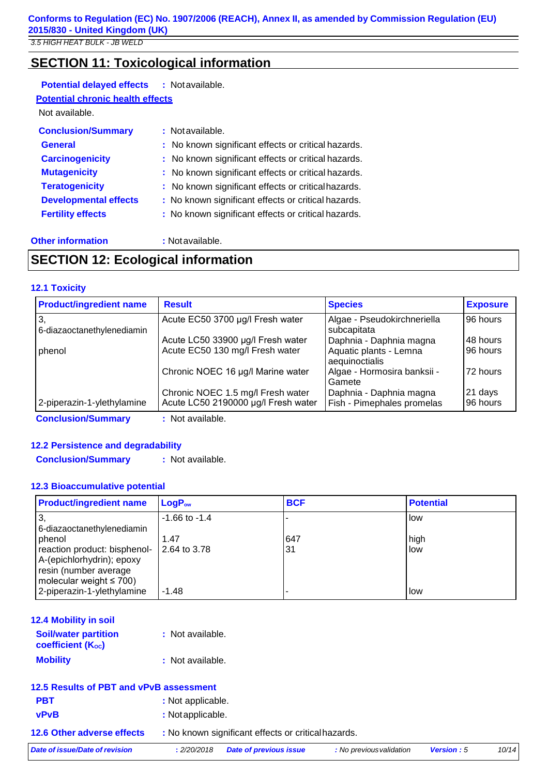### **SECTION 11: Toxicological information**

### **Potential delayed effects :** Notavailable.

### **Potential chronic health effects**

Not available.

| <b>Conclusion/Summary</b>    | : Not available.                                    |
|------------------------------|-----------------------------------------------------|
| <b>General</b>               | : No known significant effects or critical hazards. |
| <b>Carcinogenicity</b>       | : No known significant effects or critical hazards. |
| <b>Mutagenicity</b>          | : No known significant effects or critical hazards. |
| <b>Teratogenicity</b>        | : No known significant effects or critical hazards. |
| <b>Developmental effects</b> | : No known significant effects or critical hazards. |
| <b>Fertility effects</b>     | : No known significant effects or critical hazards. |
|                              |                                                     |

### **Other information :** Notavailable.

### **SECTION 12: Ecological information**

### **12.1 Toxicity**

| <b>Product/ingredient name</b>   | <b>Result</b>                       | <b>Species</b>                             | <b>Exposure</b> |
|----------------------------------|-------------------------------------|--------------------------------------------|-----------------|
| З.<br>6-diazaoctanethylenediamin | Acute EC50 3700 µg/l Fresh water    | Algae - Pseudokirchneriella<br>subcapitata | 96 hours        |
|                                  | Acute LC50 33900 µg/l Fresh water   | Daphnia - Daphnia magna                    | 48 hours        |
| phenol                           | Acute EC50 130 mg/l Fresh water     | Aquatic plants - Lemna<br>aequinoctialis   | 96 hours        |
|                                  | Chronic NOEC 16 µg/l Marine water   | Algae - Hormosira banksii -<br>Gamete      | 72 hours        |
|                                  | Chronic NOEC 1.5 mg/l Fresh water   | Daphnia - Daphnia magna                    | 21 days         |
| 2-piperazin-1-ylethylamine       | Acute LC50 2190000 µg/l Fresh water | Fish - Pimephales promelas                 | 96 hours        |
| <b>Conclusion/Summary</b>        | : Not available.                    |                                            |                 |

### **12.2 Persistence and degradability**

**Conclusion/Summary :** Not available.

### **12.3 Bioaccumulative potential**

| <b>Product/ingredient name</b>                                                                                                | $LogP_{ow}$          | <b>BCF</b> | <b>Potential</b> |
|-------------------------------------------------------------------------------------------------------------------------------|----------------------|------------|------------------|
| 3<br>6-diazaoctanethylenediamin                                                                                               | $-1.66$ to $-1.4$    |            | i low            |
| phenol<br>reaction product: bisphenol-<br>A-(epichlorhydrin); epoxy<br>resin (number average<br>molecular weight $\leq 700$ ) | 1.47<br>2.64 to 3.78 | 647<br>31  | high<br>llow     |
| 2-piperazin-1-ylethylamine                                                                                                    | $-1.48$              |            | l low            |

| 12.4 Mobility in soil                                   |                  |
|---------------------------------------------------------|------------------|
| <b>Soil/water partition</b><br><b>coefficient (Koc)</b> | : Not available. |
| <b>Mobility</b>                                         | : Not available. |

| 12.5 Results of PBT and vPvB assessment |                   |                                                     |                          |                   |       |
|-----------------------------------------|-------------------|-----------------------------------------------------|--------------------------|-------------------|-------|
| <b>PBT</b>                              | : Not applicable. |                                                     |                          |                   |       |
| <b>vPvB</b>                             | : Not applicable. |                                                     |                          |                   |       |
| 12.6 Other adverse effects              |                   | : No known significant effects or critical hazards. |                          |                   |       |
| Date of issue/Date of revision          | : 2/20/2018       | <b>Date of previous issue</b>                       | : No previous validation | <b>Version: 5</b> | 10/14 |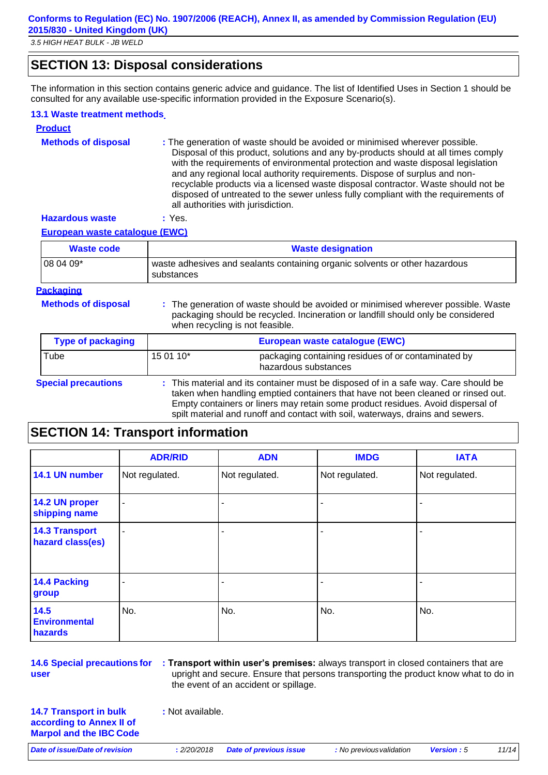### **SECTION 13: Disposal considerations**

The information in this section contains generic advice and guidance. The list of Identified Uses in Section 1 should be consulted for any available use-specific information provided in the Exposure Scenario(s).

#### **13.1 Waste treatment methods**

| <b>Product</b>                        |                                                                                                                                                                                                                                                                                                                                                                                                                                                                                                                                                      |  |
|---------------------------------------|------------------------------------------------------------------------------------------------------------------------------------------------------------------------------------------------------------------------------------------------------------------------------------------------------------------------------------------------------------------------------------------------------------------------------------------------------------------------------------------------------------------------------------------------------|--|
| <b>Methods of disposal</b>            | : The generation of waste should be avoided or minimised wherever possible.<br>Disposal of this product, solutions and any by-products should at all times comply<br>with the requirements of environmental protection and waste disposal legislation<br>and any regional local authority requirements. Dispose of surplus and non-<br>recyclable products via a licensed waste disposal contractor. Waste should not be<br>disposed of untreated to the sewer unless fully compliant with the requirements of<br>all authorities with jurisdiction. |  |
| <b>Hazardous waste</b>                | : Yes.                                                                                                                                                                                                                                                                                                                                                                                                                                                                                                                                               |  |
| <b>European waste catalogue (EWC)</b> |                                                                                                                                                                                                                                                                                                                                                                                                                                                                                                                                                      |  |
| <b>Waste code</b>                     | <b>Waste designation</b>                                                                                                                                                                                                                                                                                                                                                                                                                                                                                                                             |  |
| 08 04 09*                             | waste adhesives and sealants containing organic solvents or other hazardous<br>substances                                                                                                                                                                                                                                                                                                                                                                                                                                                            |  |
| <b>Packaging</b>                      |                                                                                                                                                                                                                                                                                                                                                                                                                                                                                                                                                      |  |
| <b>Methods of disposal</b>            | : The generation of waste should be avoided or minimised wherever possible. Waste<br>packaging should be recycled. Incineration or landfill should only be considered<br>when recycling is not feasible.                                                                                                                                                                                                                                                                                                                                             |  |
| <b>Type of packaging</b>              | European waste catalogue (EWC)                                                                                                                                                                                                                                                                                                                                                                                                                                                                                                                       |  |
| Tube                                  | 15 01 10*<br>packaging containing residues of or contaminated by<br>hazardous substances                                                                                                                                                                                                                                                                                                                                                                                                                                                             |  |
| <b>Special precautions</b>            | : This material and its container must be disposed of in a safe way. Care should be<br>taken when handling emptied containers that have not been cleaned or rinsed out.<br>Empty containers or liners may retain some product residues. Avoid dispersal of<br>spilt material and runoff and contact with soil, waterways, drains and sewers.                                                                                                                                                                                                         |  |

### **SECTION 14: Transport information**

|                                           | <b>ADR/RID</b>           | <b>ADN</b>     | <b>IMDG</b>    | <b>IATA</b>    |
|-------------------------------------------|--------------------------|----------------|----------------|----------------|
| 14.1 UN number                            | Not regulated.           | Not regulated. | Not regulated. | Not regulated. |
| 14.2 UN proper<br>shipping name           | $\blacksquare$           |                |                |                |
| <b>14.3 Transport</b><br>hazard class(es) | $\overline{\phantom{a}}$ |                |                |                |
| 14.4 Packing<br>group                     | $\overline{\phantom{0}}$ | -              |                |                |
| 14.5<br><b>Environmental</b><br>hazards   | No.                      | No.            | No.            | No.            |

**14.6 Special precautions for user**

**: Transport within user's premises:** always transport in closed containers that are upright and secure. Ensure that persons transporting the product know what to do in the event of an accident or spillage.

**14.7 Transport in bulk according to Annex II of Marpol and the IBC Code** **:** Not available.

*Date of issue/Date of revision* **:** *2/20/2018 Date of previous issue : No previousvalidation Version : 5 11/14*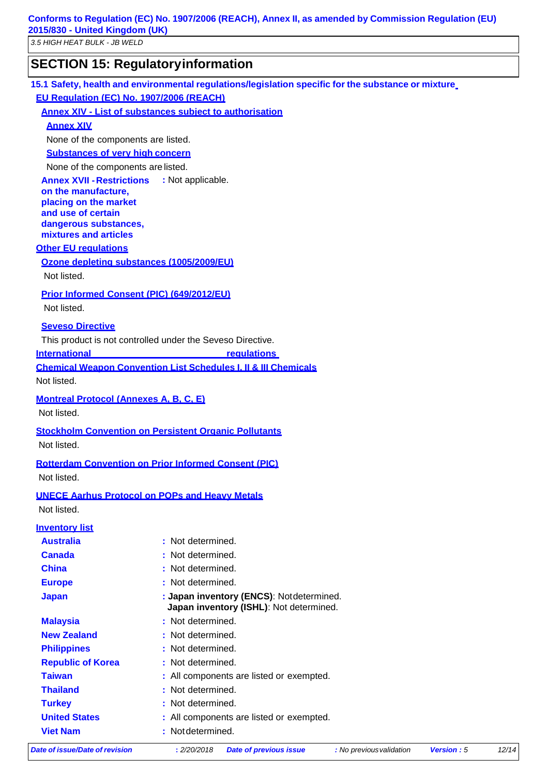**Conforms to Regulation (EC) No. 1907/2006 (REACH), Annex II, as amended by Commission Regulation (EU) 2015/830 - United Kingdom (UK)**

*3.5 HIGH HEAT BULK - JB WELD*

### **SECTION 15: Regulatoryinformation**

**15.1 Safety, health and environmental regulations/legislation specific for the substance or mixture EU Regulation (EC) No. 1907/2006 (REACH)**

#### **Annex XIV - List of substances subject to authorisation**

**Annex XIV**

None of the components are listed.

### **Substances of very high concern**

None of the components are listed.

**Annex XVII -Restrictions :** Not applicable.

**on the manufacture, placing on the market and use of certain dangerous substances, mixtures and articles**

#### **Other EU regulations**

#### **Ozone depleting substances (1005/2009/EU)**

Not listed.

#### **Prior Informed Consent (PIC) (649/2012/EU)**

Not listed.

#### **Seveso Directive**

This product is not controlled under the Seveso Directive.

**International regulations** 

**Chemical Weapon Convention List Schedules I, II & III Chemicals**

Not listed.

### **Montreal Protocol (Annexes A, B, C, E)**

Not listed.

#### **Stockholm Convention on Persistent Organic Pollutants**

Not listed.

#### **Rotterdam Convention on Prior Informed Consent (PIC)**

Not listed.

#### **UNECE Aarhus Protocol on POPs and Heavy Metals**

Not listed.

#### **Inventory list**

| Date of issue/Date of revision | : 2/20/2018<br><b>Date of previous issue</b><br><b>Version: 5</b><br>: No previous validation | 12/14 |
|--------------------------------|-----------------------------------------------------------------------------------------------|-------|
| <b>Viet Nam</b>                | : Not determined.                                                                             |       |
| <b>United States</b>           | : All components are listed or exempted.                                                      |       |
| <b>Turkey</b>                  | : Not determined.                                                                             |       |
| <b>Thailand</b>                | : Not determined.                                                                             |       |
| <b>Taiwan</b>                  | : All components are listed or exempted.                                                      |       |
| <b>Republic of Korea</b>       | : Not determined.                                                                             |       |
| <b>Philippines</b>             | : Not determined.                                                                             |       |
| <b>New Zealand</b>             | : Not determined.                                                                             |       |
| <b>Malaysia</b>                | : Not determined.                                                                             |       |
| <b>Japan</b>                   | : Japan inventory (ENCS): Notdetermined.<br>Japan inventory (ISHL): Not determined.           |       |
| <b>Europe</b>                  | : Not determined.                                                                             |       |
| <b>China</b>                   | : Not determined.                                                                             |       |
| <b>Canada</b>                  | : Not determined.                                                                             |       |
| <b>Australia</b>               | : Not determined.                                                                             |       |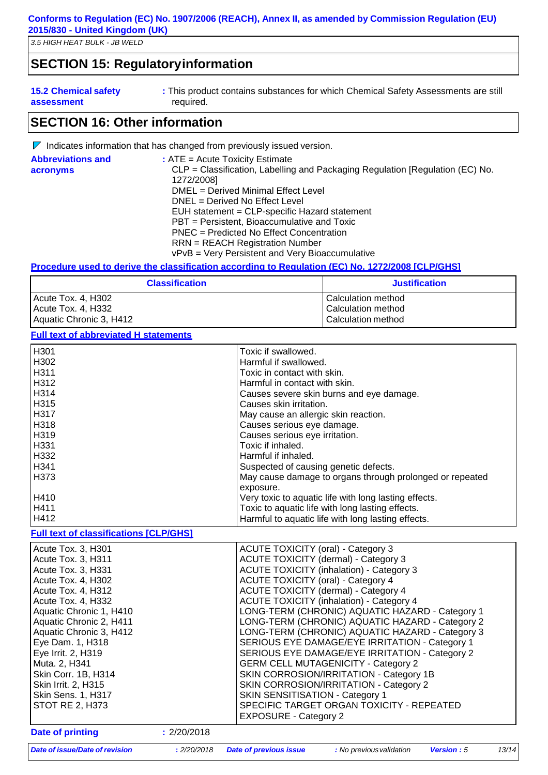### **SECTION 15: Regulatoryinformation**

| <b>15.2 Chemical safety</b> | : This product contains substances for which Chemical Safety Assessments are still |
|-----------------------------|------------------------------------------------------------------------------------|
| assessment                  | required.                                                                          |

### **SECTION 16: Other information**

|                          | $\mathbb{V}$ Indicates information that has changed from previously issued version.         |
|--------------------------|---------------------------------------------------------------------------------------------|
| <b>Abbreviations and</b> | $:$ ATE = Acute Toxicity Estimate                                                           |
| acronyms                 | CLP = Classification, Labelling and Packaging Regulation [Regulation (EC) No.<br>1272/2008] |
|                          | DMEL = Derived Minimal Effect Level                                                         |
|                          | DNEL = Derived No Effect Level                                                              |
|                          | EUH statement = CLP-specific Hazard statement                                               |
|                          | PBT = Persistent, Bioaccumulative and Toxic                                                 |
|                          | PNEC = Predicted No Effect Concentration                                                    |
|                          | $RRN = REACH$ Registration Number                                                           |
|                          | vPvB = Very Persistent and Very Bioaccumulative                                             |

#### **Procedure used to derive the classification according to Regulation (EC) No. 1272/2008 [CLP/GHS]**

| <b>Classification</b>   | <b>Justification</b> |  |
|-------------------------|----------------------|--|
| Acute Tox. 4, H302      | l Calculation method |  |
| Acute Tox. 4, H332      | Calculation method   |  |
| Aquatic Chronic 3, H412 | Calculation method   |  |

**Full text of abbreviated H statements**

| H301 H | Toxic if swallowed.                                      |
|--------|----------------------------------------------------------|
| H302   | Harmful if swallowed.                                    |
| l H311 | Toxic in contact with skin.                              |
| H312   | Harmful in contact with skin.                            |
| H314   | Causes severe skin burns and eye damage.                 |
| H315   | Causes skin irritation.                                  |
| H317   | May cause an allergic skin reaction.                     |
| H318   | Causes serious eye damage.                               |
| l H319 | Causes serious eye irritation.                           |
| H331 H | Toxic if inhaled.                                        |
| H332   | Harmful if inhaled.                                      |
| H341   | Suspected of causing genetic defects.                    |
| H373 H | May cause damage to organs through prolonged or repeated |
|        | exposure.                                                |
| H410   | Very toxic to aquatic life with long lasting effects.    |
| H411   | Toxic to aquatic life with long lasting effects.         |
| H412   | Harmful to aquatic life with long lasting effects.       |

#### **Full text of classifications [CLP/GHS]**

|                                                                                                   | <b>EXPOSURE - Category 2</b>                                                                                                                                             |
|---------------------------------------------------------------------------------------------------|--------------------------------------------------------------------------------------------------------------------------------------------------------------------------|
| Skin Corr. 1B, H314<br><b>Skin Irrit. 2, H315</b><br>Skin Sens. 1, H317<br><b>STOT RE 2, H373</b> | SKIN CORROSION/IRRITATION - Category 1B<br>SKIN CORROSION/IRRITATION - Category 2<br><b>SKIN SENSITISATION - Category 1</b><br>SPECIFIC TARGET ORGAN TOXICITY - REPEATED |
| Muta. 2, H341                                                                                     | <b>GERM CELL MUTAGENICITY - Category 2</b>                                                                                                                               |
| Eye Irrit. 2, H319                                                                                | SERIOUS EYE DAMAGE/EYE IRRITATION - Category 2                                                                                                                           |
| Eye Dam. 1, H318                                                                                  | SERIOUS EYE DAMAGE/EYE IRRITATION - Category 1                                                                                                                           |
| Aquatic Chronic 3, H412                                                                           | LONG-TERM (CHRONIC) AQUATIC HAZARD - Category 3                                                                                                                          |
| Aquatic Chronic 2, H411                                                                           | LONG-TERM (CHRONIC) AQUATIC HAZARD - Category 2                                                                                                                          |
| Aquatic Chronic 1, H410                                                                           | LONG-TERM (CHRONIC) AQUATIC HAZARD - Category 1                                                                                                                          |
| Acute Tox. 4, H332                                                                                | <b>ACUTE TOXICITY (inhalation) - Category 4</b>                                                                                                                          |
| Acute Tox. 4, H312                                                                                | <b>ACUTE TOXICITY (dermal) - Category 4</b>                                                                                                                              |
| Acute Tox. 3, H331<br>Acute Tox. 4, H302                                                          | <b>ACUTE TOXICITY (inhalation) - Category 3</b><br><b>ACUTE TOXICITY (oral) - Category 4</b>                                                                             |
| Acute Tox. 3, H311                                                                                | <b>ACUTE TOXICITY (dermal) - Category 3</b>                                                                                                                              |
| Acute Tox. 3, H301                                                                                | <b>ACUTE TOXICITY (oral) - Category 3</b>                                                                                                                                |